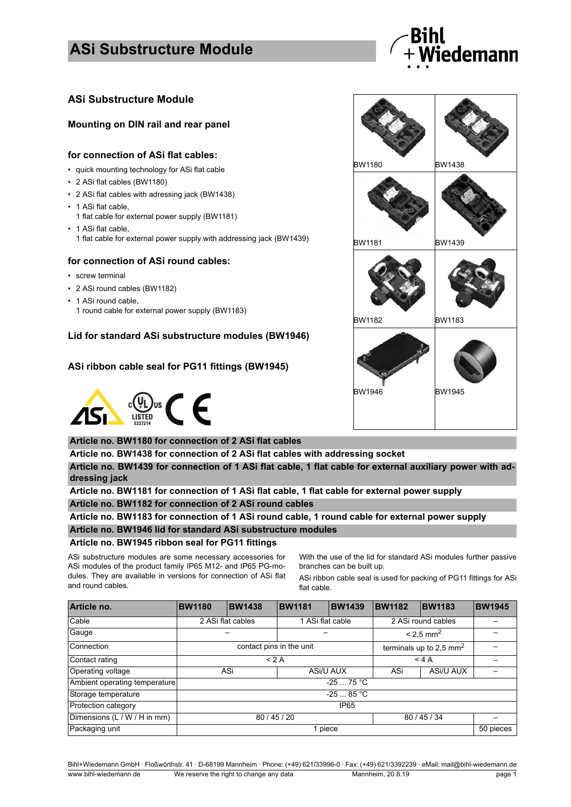## **ASi Substructure Module**



### **ASi Substructure Module**

#### **Mounting on DIN rail and rear panel**

#### **for connection of ASi flat cables:**

- quick mounting technology for ASi flat cable
- 2 ASi flat cables (BW1180)
- 2 ASi flat cables with adressing jack (BW1438)
- 1 ASi flat cable.
- 1 flat cable for external power supply (BW1181)
- 1 ASi flat cable,
	- 1 flat cable for external power supply with addressing jack (BW1439)

#### **for connection of ASi round cables:**

- screw terminal
- 2 ASi round cables (BW1182)
- 1 ASi round cable,
	- 1 round cable for external power supply (BW1183)

### **Lid for standard ASi substructure modules (BW1946)**

#### **ASi ribbon cable seal for PG11 fittings (BW1945)**



#### **Article no. BW1180 for connection of 2 ASi flat cables**

**Article no. BW1438 for connection of 2 ASi flat cables with addressing socket**

**Article no. BW1439 for connection of 1 ASi flat cable, 1 flat cable for external auxiliary power with addressing jack**

**Article no. BW1181 for connection of 1 ASi flat cable, 1 flat cable for external power supply Article no. BW1182 for connection of 2 ASi round cables**

**Article no. BW1183 for connection of 1 ASi round cable, 1 round cable for external power supply**

#### **Article no. BW1946 lid for standard ASi substructure modules**

#### **Article no. BW1945 ribbon seal for PG11 fittings**

ASi substructure modules are some necessary accessories for ASi modules of the product family IP65 M12- and IP65 PG-modules. They are available in versions for connection of ASi flat and round cables.

With the use of the lid for standard ASi modules further passive branches can be built up.

ASi ribbon cable seal is used for packing of PG11 fittings for ASi flat cable.

| Article no.                   | <b>BW1180</b>            | <b>BW1438</b> | <b>BW1181</b>    | <b>BW1439</b>                       | <b>BW1182</b>           | <b>BW1183</b> | <b>BW1945</b> |
|-------------------------------|--------------------------|---------------|------------------|-------------------------------------|-------------------------|---------------|---------------|
| Cable                         | 2 ASi flat cables        |               | 1 ASi flat cable |                                     | 2 ASi round cables      |               |               |
| Gauge                         |                          |               |                  |                                     | $< 2.5$ mm <sup>2</sup> |               |               |
| Connection                    | contact pins in the unit |               |                  | terminals up to 2,5 mm <sup>2</sup> |                         |               |               |
| Contact rating                | < 2 A                    |               |                  | $<$ 4 A                             |                         |               |               |
| Operating voltage             | ASi                      |               | ASi/U AUX        |                                     | ASi                     | ASi/U AUX     |               |
| Ambient operating temperature | $-2575 °C$               |               |                  |                                     |                         |               |               |
| Storage temperature           | $-2585 °C$               |               |                  |                                     |                         |               |               |
| Protection category           | IP <sub>65</sub>         |               |                  |                                     |                         |               |               |
| Dimensions (L / W / H in mm)  | 80/45/20                 |               |                  | 80 / 45 / 34                        |                         |               |               |
| Packaging unit                | 1 piece                  |               |                  |                                     |                         | 50 pieces     |               |